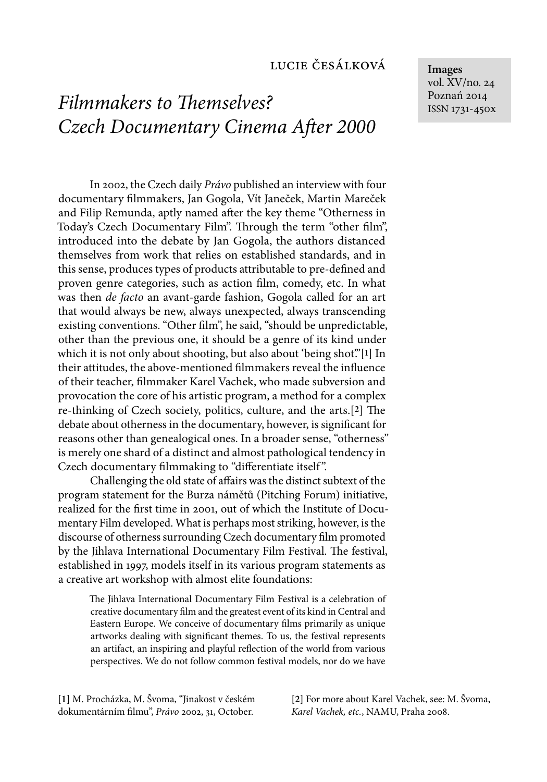# *Filmmakers to Themselves? Czech Documentary Cinema After 2000*

In 2002, the Czech daily *Právo* published an interview with four documentary filmmakers, Jan Gogola, Vít Janeček, Martin Mareček and Filip Remunda, aptly named after the key theme "Otherness in Today's Czech Documentary Film". Through the term "other film", introduced into the debate by Jan Gogola, the authors distanced themselves from work that relies on established standards, and in this sense, produces types of products attributable to pre-defined and proven genre categories, such as action film, comedy, etc. In what was then *de facto* an avant-garde fashion, Gogola called for an art that would always be new, always unexpected, always transcending existing conventions. "Other film", he said, "should be unpredictable, other than the previous one, it should be a genre of its kind under which it is not only about shooting, but also about 'being shot'."[**1**] In their attitudes, the above-mentioned filmmakers reveal the influence of their teacher, filmmaker Karel Vachek, who made subversion and provocation the core of his artistic program, a method for a complex re-thinking of Czech society, politics, culture, and the arts.<sup>[2]</sup> The debate about otherness in the documentary, however, is significant for reasons other than genealogical ones. In a broader sense, "otherness" is merely one shard of a distinct and almost pathological tendency in Czech documentary filmmaking to "differentiate itself".

Challenging the old state of affairs was the distinct subtext of the program statement for the Burza námětů (Pitching Forum) initiative, realized for the first time in 2001, out of which the Institute of Documentary Film developed. What is perhaps most striking, however, is the discourse of otherness surrounding Czech documentary film promoted by the Jihlava International Documentary Film Festival. The festival, established in 1997, models itself in its various program statements as a creative art workshop with almost elite foundations:

The Jihlava International Documentary Film Festival is a celebration of creative documentary film and the greatest event of its kind in Central and Eastern Europe. We conceive of documentary films primarily as unique artworks dealing with significant themes. To us, the festival represents an artifact, an inspiring and playful reflection of the world from various perspectives. We do not follow common festival models, nor do we have

**[1]** M. Procházka, M. Švoma, "Jinakost v českém dokumentárním filmu", Právo 2002, 31, October.

**[2]** For more about Karel Vachek, see: M. Švoma, *Karel Vachek, etc.*, NAMU, Praha 2008.

**Images** vol. XV/no. 24 Poznań 2014 ISSN 1731-450x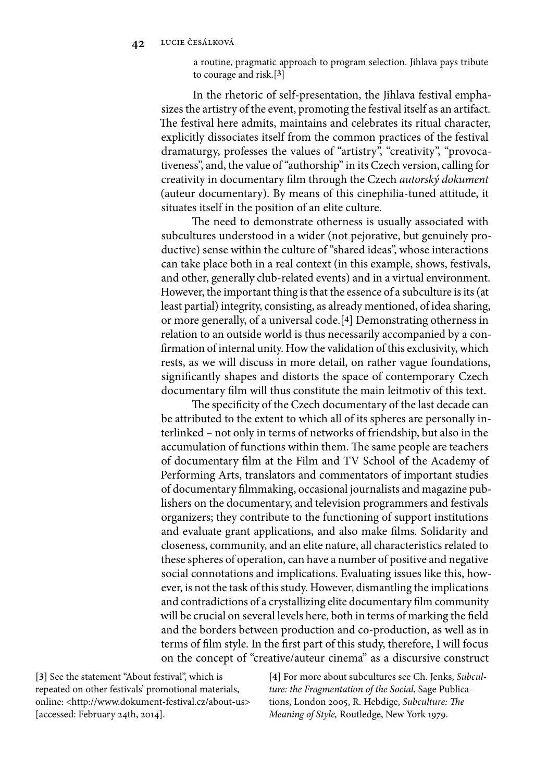a routine, pragmatic approach to program selection. Jihlava pays tribute to courage and risk.[**3**]

In the rhetoric of self-presentation, the Jihlava festival emphasizes the artistry of the event, promoting the festival itself as an artifact. The festival here admits, maintains and celebrates its ritual character, explicitly dissociates itself from the common practices of the festival dramaturgy, professes the values of "artistry", "creativity", "provocativeness", and, the value of "authorship" in its Czech version, calling for creativity in documentary film through the Czech *autorský dokument* (auteur documentary). By means of this cinephilia-tuned attitude, it situates itself in the position of an elite culture.

The need to demonstrate otherness is usually associated with subcultures understood in a wider (not pejorative, but genuinely productive) sense within the culture of "shared ideas", whose interactions can take place both in a real context (in this example, shows, festivals, and other, generally club-related events) and in a virtual environment. However, the important thing is that the essence of a subculture is its (at least partial) integrity, consisting, as already mentioned, of idea sharing, or more generally, of a universal code.[**4**] Demonstrating otherness in relation to an outside world is thus necessarily accompanied by a confirmation of internal unity. How the validation of this exclusivity, which rests, as we will discuss in more detail, on rather vague foundations, significantly shapes and distorts the space of contemporary Czech documentary film will thus constitute the main leitmotiv of this text.

The specificity of the Czech documentary of the last decade can be attributed to the extent to which all of its spheres are personally interlinked – not only in terms of networks of friendship, but also in the accumulation of functions within them. The same people are teachers of documentary film at the Film and TV School of the Academy of Performing Arts, translators and commentators of important studies of documentary filmmaking, occasional journalists and magazine publishers on the documentary, and television programmers and festivals organizers; they contribute to the functioning of support institutions and evaluate grant applications, and also make films. Solidarity and closeness, community, and an elite nature, all characteristics related to these spheres of operation, can have a number of positive and negative social connotations and implications. Evaluating issues like this, however, is not the task of this study. However, dismantling the implications and contradictions of a crystallizing elite documentary film community will be crucial on several levels here, both in terms of marking the field and the borders between production and co-production, as well as in terms of film style. In the first part of this study, therefore, I will focus on the concept of "creative/auteur cinema" as a discursive construct

**[3]** See the statement "About festival", which is repeated on other festivals' promotional materials, online: <http://www.dokument-festival.cz/about-us> [accessed: February 24th, 2014].

**[4]** For more about subcultures see Ch. Jenks, *Subculture: the Fragmentation of the Social*, Sage Publications, London 2005, R. Hebdige, *Subculture: The Meaning of Style,* Routledge, New York 1979.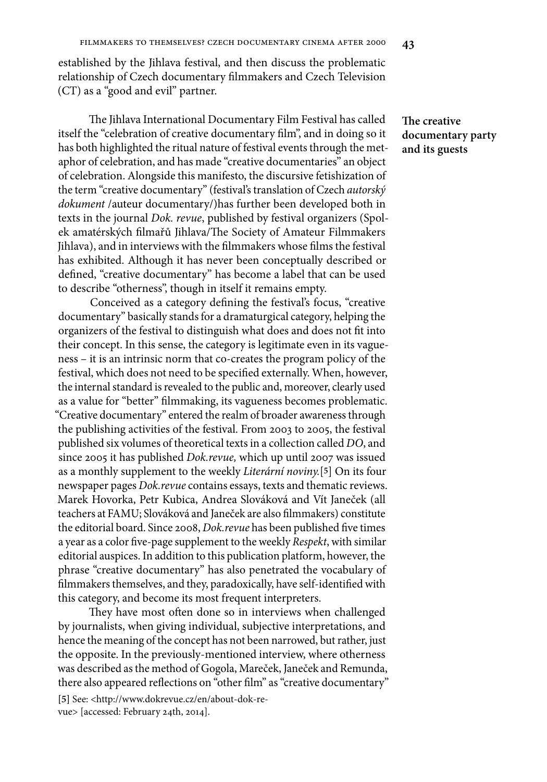established by the Jihlava festival, and then discuss the problematic relationship of Czech documentary filmmakers and Czech Television (CT) as a "good and evil" partner.

The Jihlava International Documentary Film Festival has called itself the "celebration of creative documentary film", and in doing so it has both highlighted the ritual nature of festival events through the metaphor of celebration, and has made "creative documentaries" an object of celebration. Alongside this manifesto, the discursive fetishization of the term "creative documentary" (festival's translation of Czech *autorský dokument* /auteur documentary/)has further been developed both in texts in the journal *Dok. revue*, published by festival organizers (Spolek amatérských filmařů Jihlava/The Society of Amateur Filmmakers Jihlava), and in interviews with the filmmakers whose films the festival has exhibited. Although it has never been conceptually described or defined, "creative documentary" has become a label that can be used to describe "otherness", though in itself it remains empty.

Conceived as a category defining the festival's focus, "creative documentary" basically stands for a dramaturgical category, helping the organizers of the festival to distinguish what does and does not fit into their concept. In this sense, the category is legitimate even in its vagueness – it is an intrinsic norm that co-creates the program policy of the festival, which does not need to be specified externally. When, however, the internal standard is revealed to the public and, moreover, clearly used as a value for "better" filmmaking, its vagueness becomes problematic. "Creative documentary" entered the realm of broader awareness through the publishing activities of the festival. From 2003 to 2005, the festival published six volumes of theoretical texts in a collection called *DO*, and since 2005 it has published *Dok.revue,* which up until 2007 was issued as a monthly supplement to the weekly *Literární noviny.*[**5**] On its four newspaper pages *Dok.revue* contains essays, texts and thematic reviews. Marek Hovorka, Petr Kubica, Andrea Slováková and Vít Janeček (all teachers at FAMU; Slováková and Janeček are also filmmakers) constitute the editorial board. Since 2008, *Dok.revue* has been published five times a year as a color five-page supplement to the weekly *Respekt*, with similar editorial auspices. In addition to this publication platform, however, the phrase "creative documentary" has also penetrated the vocabulary of filmmakers themselves, and they, paradoxically, have self-identified with this category, and become its most frequent interpreters.

They have most often done so in interviews when challenged by journalists, when giving individual, subjective interpretations, and hence the meaning of the concept has not been narrowed, but rather, just the opposite. In the previously-mentioned interview, where otherness was described as the method of Gogola, Mareček, Janeček and Remunda, there also appeared reflections on "other film" as "creative documentary"

**[5]** See: <http://www.dokrevue.cz/en/about-dok-revue> [accessed: February 24th, 2014].

**The creative documentary party and its guests**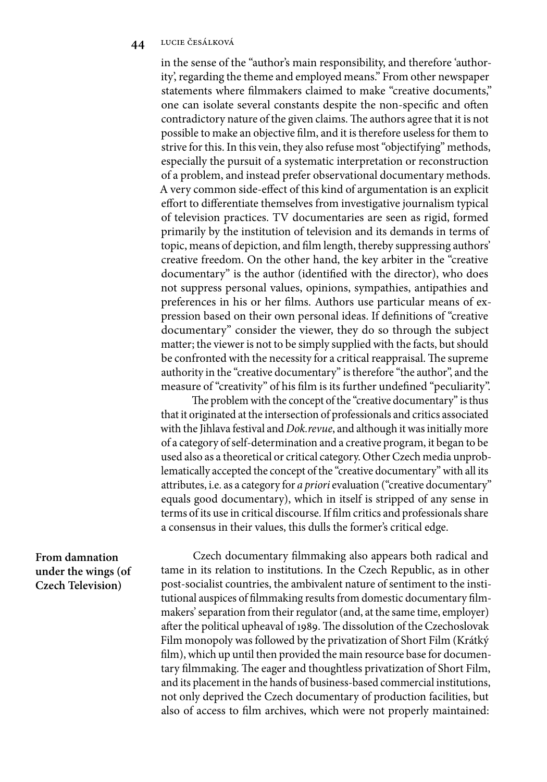in the sense of the "author's main responsibility, and therefore 'authority', regarding the theme and employed means." From other newspaper statements where filmmakers claimed to make "creative documents," one can isolate several constants despite the non-specific and often contradictory nature of the given claims. The authors agree that it is not possible to make an objective film, and it is therefore useless for them to strive for this. In this vein, they also refuse most "objectifying" methods, especially the pursuit of a systematic interpretation or reconstruction of a problem, and instead prefer observational documentary methods. A very common side-effect of this kind of argumentation is an explicit effort to differentiate themselves from investigative journalism typical of television practices. TV documentaries are seen as rigid, formed primarily by the institution of television and its demands in terms of topic, means of depiction, and film length, thereby suppressing authors' creative freedom. On the other hand, the key arbiter in the "creative documentary" is the author (identified with the director), who does not suppress personal values, opinions, sympathies, antipathies and preferences in his or her films. Authors use particular means of expression based on their own personal ideas. If definitions of "creative documentary" consider the viewer, they do so through the subject matter; the viewer is not to be simply supplied with the facts, but should be confronted with the necessity for a critical reappraisal. The supreme authority in the "creative documentary" is therefore "the author", and the measure of "creativity" of his film is its further undefined "peculiarity".

The problem with the concept of the "creative documentary" is thus that it originated at the intersection of professionals and critics associated with the Jihlava festival and *Dok.revue*, and although it was initially more of a category of self-determination and a creative program, it began to be used also as a theoretical or critical category. Other Czech media unproblematically accepted the concept of the "creative documentary" with all its attributes, i.e. as a category for *a priori* evaluation ("creative documentary" equals good documentary), which in itself is stripped of any sense in terms of its use in critical discourse. If film critics and professionals share a consensus in their values, this dulls the former's critical edge.

# **From damnation under the wings (of Czech Television)**

Czech documentary filmmaking also appears both radical and tame in its relation to institutions. In the Czech Republic, as in other post-socialist countries, the ambivalent nature of sentiment to the institutional auspices of filmmaking results from domestic documentary filmmakers' separation from their regulator (and, at the same time, employer) after the political upheaval of 1989. The dissolution of the Czechoslovak Film monopoly was followed by the privatization of Short Film (Krátký film), which up until then provided the main resource base for documentary filmmaking. The eager and thoughtless privatization of Short Film, and its placement in the hands of business-based commercial institutions, not only deprived the Czech documentary of production facilities, but also of access to film archives, which were not properly maintained: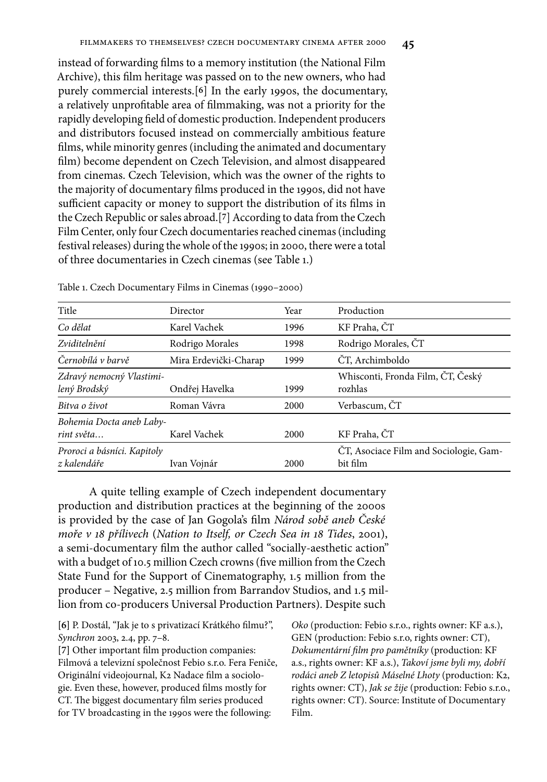# instead of forwarding films to a memory institution (the National Film Archive), this film heritage was passed on to the new owners, who had purely commercial interests.[**6**] In the early 1990s, the documentary, a relatively unprofitable area of filmmaking, was not a priority for the rapidly developing field of domestic production. Independent producers and distributors focused instead on commercially ambitious feature films, while minority genres (including the animated and documentary film) become dependent on Czech Television, and almost disappeared from cinemas. Czech Television, which was the owner of the rights to the majority of documentary films produced in the 1990s, did not have sufficient capacity or money to support the distribution of its films in the Czech Republic or sales abroad.[**7**] According to data from the Czech Film Center, only four Czech documentaries reached cinemas (including festival releases) during the whole of the 1990s; in 2000, there were a total of three documentaries in Czech cinemas (see Table 1.)

| Title                                      | Director              | Year                    | Production                                         |  |
|--------------------------------------------|-----------------------|-------------------------|----------------------------------------------------|--|
| Co dělat                                   | Karel Vachek          | 1996                    | KF Praha, ČT                                       |  |
| Zviditelnění                               | Rodrigo Morales       | 1998                    | Rodrigo Morales, ČT                                |  |
| Černobílá v barvě                          | Mira Erdevički-Charap | ČT, Archimboldo<br>1999 |                                                    |  |
| Zdravý nemocný Vlastimi-<br>lený Brodský   | Ondřej Havelka        | 1999                    | Whisconti, Fronda Film, ČT, Český<br>rozhlas       |  |
| Bitva o život                              | Roman Vávra           |                         | Verbascum, ČT                                      |  |
| Bohemia Docta aneb Laby-<br>rint světa     | Karel Vachek          | 2000                    | KF Praha, ČT                                       |  |
| Proroci a básníci. Kapitoly<br>z kalendáře | Ivan Vojnár           | 2000                    | CT, Asociace Film and Sociologie, Gam-<br>bit film |  |

Table 1. Czech Documentary Films in Cinemas (1990–2000)

A quite telling example of Czech independent documentary production and distribution practices at the beginning of the 2000s is provided by the case of Jan Gogola's film *Národ sobě aneb České moře v 18 přílivech* (*Nation to Itself, or Czech Sea in 18 Tides*, 2001), a semi-documentary film the author called "socially-aesthetic action" with a budget of 10.5 million Czech crowns (five million from the Czech State Fund for the Support of Cinematography, 1.5 million from the producer – Negative, 2.5 million from Barrandov Studios, and 1.5 million from co-producers Universal Production Partners). Despite such

[6] P. Dostál, "Jak je to s privatizací Krátkého filmu?", *Synchron* 2003, 2.4, pp. 7–8.

[7] Other important film production companies: Filmová a televizní společnost Febio s.r.o. Fera Feniče, Originální videojournal, K2 Nadace film a sociologie. Even these, however, produced films mostly for CT. The biggest documentary film series produced for TV broadcasting in the 1990s were the following:

*Oko* (production: Febio s.r.o., rights owner: KF a.s.), GEN (production: Febio s.r.o, rights owner: CT), *Dokumentární fi lm pro pamětníky* (production: KF a.s., rights owner: KF a.s.), *Takoví jsme byli my, dobří rodáci aneb Z letopisů Máselné Lhoty* (production: K2, rights owner: CT), *Jak se žije* (production: Febio s.r.o., rights owner: CT). Source: Institute of Documentary Film.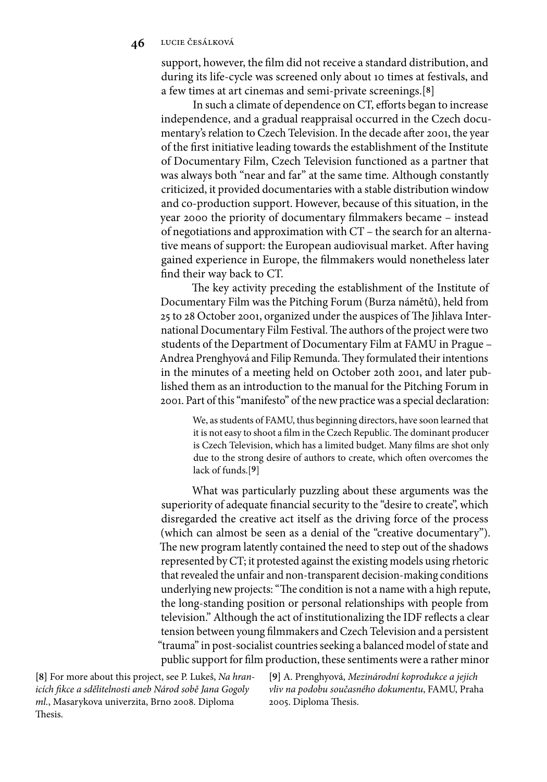support, however, the film did not receive a standard distribution, and during its life-cycle was screened only about 10 times at festivals, and a few times at art cinemas and semi-private screenings.[**8**]

In such a climate of dependence on CT, efforts began to increase independence, and a gradual reappraisal occurred in the Czech documentary's relation to Czech Television. In the decade after 2001, the year of the first initiative leading towards the establishment of the Institute of Documentary Film, Czech Television functioned as a partner that was always both "near and far" at the same time. Although constantly criticized, it provided documentaries with a stable distribution window and co-production support. However, because of this situation, in the year 2000 the priority of documentary filmmakers became – instead of negotiations and approximation with CT – the search for an alternative means of support: the European audiovisual market. After having gained experience in Europe, the filmmakers would nonetheless later find their way back to CT.

The key activity preceding the establishment of the Institute of Documentary Film was the Pitching Forum (Burza námětů), held from 25 to 28 October 2001, organized under the auspices of The Jihlava International Documentary Film Festival. The authors of the project were two students of the Department of Documentary Film at FAMU in Prague – Andrea Prenghyová and Filip Remunda. They formulated their intentions in the minutes of a meeting held on October 20th 2001, and later published them as an introduction to the manual for the Pitching Forum in 2001. Part of this "manifesto" of the new practice was a special declaration:

We, as students of FAMU, thus beginning directors, have soon learned that it is not easy to shoot a film in the Czech Republic. The dominant producer is Czech Television, which has a limited budget. Many films are shot only due to the strong desire of authors to create, which often overcomes the lack of funds.[**9**]

What was particularly puzzling about these arguments was the superiority of adequate financial security to the "desire to create", which disregarded the creative act itself as the driving force of the process (which can almost be seen as a denial of the "creative documentary"). The new program latently contained the need to step out of the shadows represented by CT; it protested against the existing models using rhetoric that revealed the unfair and non-transparent decision-making conditions underlying new projects: "The condition is not a name with a high repute, the long-standing position or personal relationships with people from television." Although the act of institutionalizing the IDF reflects a clear tension between young filmmakers and Czech Television and a persistent "trauma" in post-socialist countries seeking a balanced model of state and public support for film production, these sentiments were a rather minor

**[8]** For more about this project, see P. Lukeš, *Na hranicích fi kce a sdělitelnosti aneb Národ sobě Jana Gogoly ml.*, Masarykova univerzita, Brno 2008. Diploma Thesis.

**[9]** A. Prenghyová, *Mezinárodní koprodukce a jejich vliv na podobu současného dokumentu*, FAMU, Praha 2005. Diploma Thesis.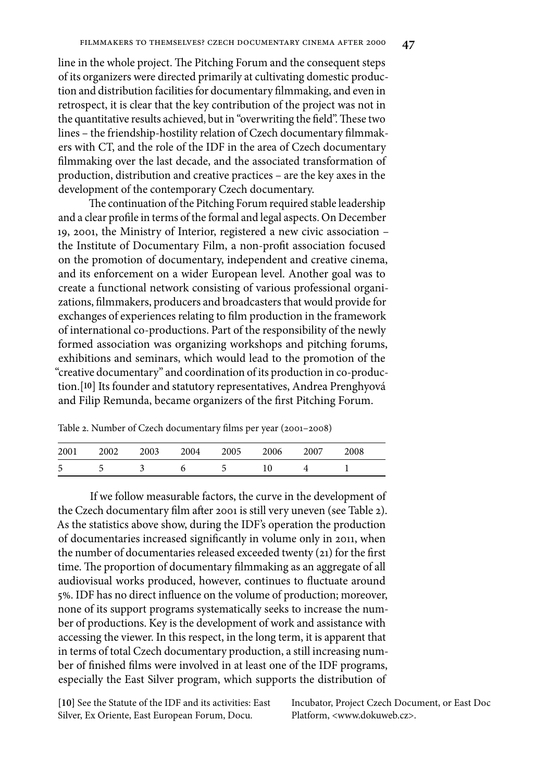line in the whole project. The Pitching Forum and the consequent steps of its organizers were directed primarily at cultivating domestic production and distribution facilities for documentary filmmaking, and even in retrospect, it is clear that the key contribution of the project was not in the quantitative results achieved, but in "overwriting the field". These two lines - the friendship-hostility relation of Czech documentary filmmakers with CT, and the role of the IDF in the area of Czech documentary filmmaking over the last decade, and the associated transformation of production, distribution and creative practices – are the key axes in the development of the contemporary Czech documentary.

The continuation of the Pitching Forum required stable leadership and a clear profile in terms of the formal and legal aspects. On December 19, 2001, the Ministry of Interior, registered a new civic association – the Institute of Documentary Film, a non-profit association focused on the promotion of documentary, independent and creative cinema, and its enforcement on a wider European level. Another goal was to create a functional network consisting of various professional organizations, filmmakers, producers and broadcasters that would provide for exchanges of experiences relating to film production in the framework of international co-productions. Part of the responsibility of the newly formed association was organizing workshops and pitching forums, exhibitions and seminars, which would lead to the promotion of the "creative documentary" and coordination of its production in co-production.[**10**] Its founder and statutory representatives, Andrea Prenghyová and Filip Remunda, became organizers of the first Pitching Forum.

| Table 2. Number of Czech documentary films per year (2001-2008) |  |
|-----------------------------------------------------------------|--|
|-----------------------------------------------------------------|--|

| 2001 | 2002 | 2003 | 2004 | 2005 | 2006 | 2007 | 2008 |
|------|------|------|------|------|------|------|------|
| -5   |      |      |      |      |      |      |      |

If we follow measurable factors, the curve in the development of the Czech documentary film after 2001 is still very uneven (see Table 2). As the statistics above show, during the IDF's operation the production of documentaries increased significantly in volume only in 2011, when the number of documentaries released exceeded twenty (21) for the first time. The proportion of documentary filmmaking as an aggregate of all audiovisual works produced, however, continues to fluctuate around 5%. IDF has no direct influence on the volume of production; moreover, none of its support programs systematically seeks to increase the number of productions. Key is the development of work and assistance with accessing the viewer. In this respect, in the long term, it is apparent that in terms of total Czech documentary production, a still increasing number of finished films were involved in at least one of the IDF programs, especially the East Silver program, which supports the distribution of

**[10]** See the Statute of the IDF and its activities: East Silver, Ex Oriente, East European Forum, Docu.

Incubator, Project Czech Document, or East Doc Platform, <www.dokuweb.cz>.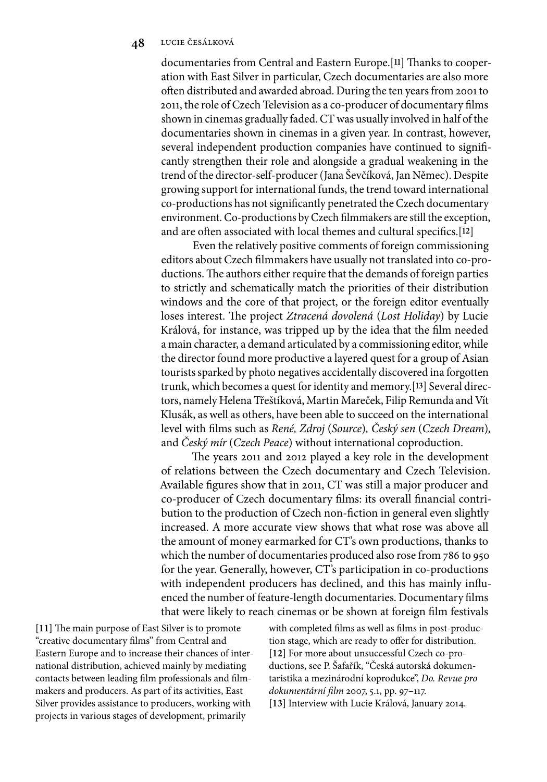documentaries from Central and Eastern Europe.<sup>[11]</sup> Thanks to cooperation with East Silver in particular, Czech documentaries are also more often distributed and awarded abroad. During the ten years from 2001 to 2011, the role of Czech Television as a co-producer of documentary films shown in cinemas gradually faded. CT was usually involved in half of the documentaries shown in cinemas in a given year. In contrast, however, several independent production companies have continued to significantly strengthen their role and alongside a gradual weakening in the trend of the director-self-producer (Jana Ševčíková, Jan Němec). Despite growing support for international funds, the trend toward international co-productions has not significantly penetrated the Czech documentary environment. Co-productions by Czech filmmakers are still the exception, and are often associated with local themes and cultural specifics.<sup>[12]</sup>

Even the relatively positive comments of foreign commissioning editors about Czech filmmakers have usually not translated into co-productions. The authors either require that the demands of foreign parties to strictly and schematically match the priorities of their distribution windows and the core of that project, or the foreign editor eventually loses interest. The project *Ztracená dovolená* (Lost Holiday) by Lucie Králová, for instance, was tripped up by the idea that the film needed a main character, a demand articulated by a commissioning editor, while the director found more productive a layered quest for a group of Asian tourists sparked by photo negatives accidentally discovered ina forgotten trunk, which becomes a quest for identity and memory.[**13**] Several directors, namely Helena Třeštíková, Martin Mareček, Filip Remunda and Vít Klusák, as well as others, have been able to succeed on the international level with films such as *René, Zdroj* (*Source*), Český sen (Czech Dream), and *Český mír* (*Czech Peace*) without international coproduction.

The years 2011 and 2012 played a key role in the development of relations between the Czech documentary and Czech Television. Available figures show that in 2011, CT was still a major producer and co-producer of Czech documentary films: its overall financial contribution to the production of Czech non-fiction in general even slightly increased. A more accurate view shows that what rose was above all the amount of money earmarked for CT's own productions, thanks to which the number of documentaries produced also rose from 786 to 950 for the year. Generally, however, CT's participation in co-productions with independent producers has declined, and this has mainly influenced the number of feature-length documentaries. Documentary films that were likely to reach cinemas or be shown at foreign film festivals

[11] The main purpose of East Silver is to promote "creative documentary films" from Central and Eastern Europe and to increase their chances of international distribution, achieved mainly by mediating contacts between leading film professionals and filmmakers and producers. As part of its activities, East Silver provides assistance to producers, working with projects in various stages of development, primarily

with completed films as well as films in post-production stage, which are ready to offer for distribution. **[12]** For more about unsuccessful Czech co-productions, see P. Šafařík, "Česká autorská dokumentaristika a mezinárodní koprodukce", *Do. Revue pro dokumentární film 2007, 5.1, pp. 97-117.* **[13]** Interview with Lucie Králová, January 2014.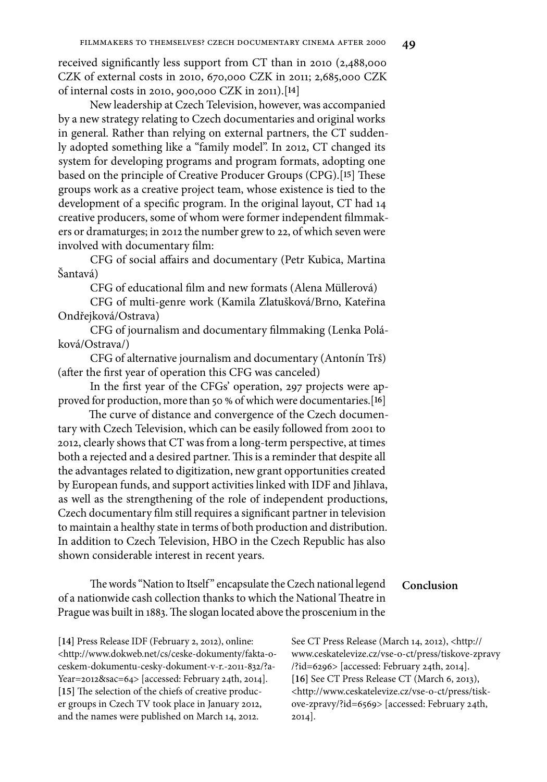received significantly less support from  $CT$  than in 2010 (2,488,000) CZK of external costs in 2010, 670,000 CZK in 2011; 2,685,000 CZK of internal costs in 2010, 900,000 CZK in 2011).[**14**]

New leadership at Czech Television, however, was accompanied by a new strategy relating to Czech documentaries and original works in general. Rather than relying on external partners, the CT suddenly adopted something like a "family model". In 2012, CT changed its system for developing programs and program formats, adopting one based on the principle of Creative Producer Groups (CPG).<sup>[15]</sup> These groups work as a creative project team, whose existence is tied to the development of a specific program. In the original layout, CT had 14 creative producers, some of whom were former independent filmmakers or dramaturges; in 2012 the number grew to 22, of which seven were involved with documentary film:

CFG of social affairs and documentary (Petr Kubica, Martina Šantavá)

CFG of educational film and new formats (Alena Müllerová)

CFG of multi-genre work (Kamila Zlatušková/Brno, Kateřina Ondřejková/Ostrava)

CFG of journalism and documentary filmmaking (Lenka Poláková/Ostrava/)

CFG of alternative journalism and documentary (Antonín Trš) (after the first year of operation this CFG was canceled)

In the first year of the CFGs' operation, 297 projects were approved for production, more than 50 % of which were documentaries.[**16**]

The curve of distance and convergence of the Czech documentary with Czech Television, which can be easily followed from 2001 to 2012, clearly shows that CT was from a long-term perspective, at times both a rejected and a desired partner. This is a reminder that despite all the advantages related to digitization, new grant opportunities created by European funds, and support activities linked with IDF and Jihlava, as well as the strengthening of the role of independent productions, Czech documentary film still requires a significant partner in television to maintain a healthy state in terms of both production and distribution. In addition to Czech Television, HBO in the Czech Republic has also shown considerable interest in recent years.

#### **Conclusion**

The words "Nation to Itself" encapsulate the Czech national legend of a nationwide cash collection thanks to which the National Theatre in Prague was built in 1883. The slogan located above the proscenium in the

**[14]** Press Release IDF (February 2, 2012), online: <http://www.dokweb.net/cs/ceske-dokumenty/fakta-oceskem-dokumentu-cesky-dokument-v-r.-2011-832/?a-Year=2012&sac=64> [accessed: February 24th, 2014]. [15] The selection of the chiefs of creative producer groups in Czech TV took place in January 2012, and the names were published on March 14, 2012.

See CT Press Release (March 14, 2012), <http:// www.ceskatelevize.cz/vse-o-ct/press/tiskove-zpravy /?id=6296> [accessed: February 24th, 2014]. **[16]** See CT Press Release CT (March 6, 2013), <http://www.ceskatelevize.cz/vse-o-ct/press/tiskove-zpravy/?id=6569> [accessed: February 24th, 2014].